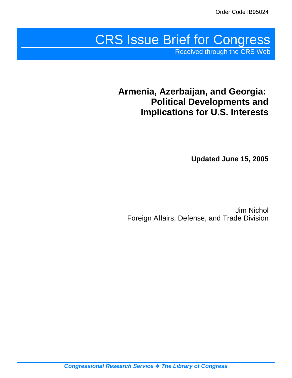# CRS Issue Brief for Congress

Received through the CRS Web

## **Armenia, Azerbaijan, and Georgia: Political Developments and Implications for U.S. Interests**

**Updated June 15, 2005**

Jim Nichol Foreign Affairs, Defense, and Trade Division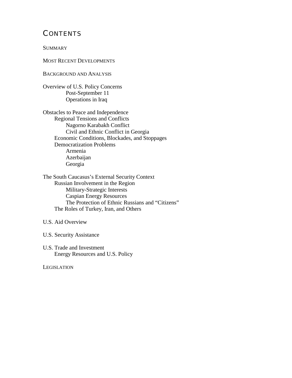## **CONTENTS**

**SUMMARY** 

MOST RECENT DEVELOPMENTS

BACKGROUND AND ANALYSIS

Overview of U.S. Policy Concerns Post-September 11 Operations in Iraq

Obstacles to Peace and Independence Regional Tensions and Conflicts Nagorno Karabakh Conflict Civil and Ethnic Conflict in Georgia Economic Conditions, Blockades, and Stoppages Democratization Problems Armenia Azerbaijan Georgia

The South Caucasus's External Security Context Russian Involvement in the Region Military-Strategic Interests Caspian Energy Resources The Protection of Ethnic Russians and "Citizens" The Roles of Turkey, Iran, and Others

#### U.S. Aid Overview

U.S. Security Assistance

U.S. Trade and Investment Energy Resources and U.S. Policy

**LEGISLATION**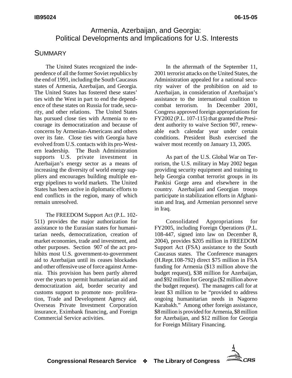## Armenia, Azerbaijan, and Georgia: Political Developments and Implications for U.S. Interests

## **SUMMARY**

The United States recognized the independence of all the former Soviet republics by the end of 1991, including the South Caucasus states of Armenia, Azerbaijan, and Georgia. The United States has fostered these states' ties with the West in part to end the dependence of these states on Russia for trade, security, and other relations. The United States has pursued close ties with Armenia to encourage its democratization and because of concerns by Armenian-Americans and others over its fate. Close ties with Georgia have evolved from U.S. contacts with its pro-Western leadership. The Bush Administration supports U.S. private investment in Azerbaijan's energy sector as a means of increasing the diversity of world energy suppliers and encourages building multiple energy pipelines to world markets. The United States has been active in diplomatic efforts to end conflicts in the region, many of which remain unresolved.

The FREEDOM Support Act (P.L. 102- 511) provides the major authorization for assistance to the Eurasian states for humanitarian needs, democratization, creation of market economies, trade and investment, and other purposes. Section 907 of the act prohibits most U.S. government-to-government aid to Azerbaijan until its ceases blockades and other offensive use of force against Armenia. This provision has been partly altered over the years to permit humanitarian aid and democratization aid, border security and customs support to promote non- proliferation, Trade and Development Agency aid, Overseas Private Investment Corporation insurance, Eximbank financing, and Foreign Commercial Service activities.

In the aftermath of the September 11, 2001 terrorist attacks on the United States, the Administration appealed for a national security waiver of the prohibition on aid to Azerbaijan, in consideration of Azerbaijan's assistance to the international coalition to combat terrorism. In December 2001, Congress approved foreign appropriations for FY2002 (P.L. 107-115) that granted the President authority to waive Section 907, renewable each calendar year under certain conditions. President Bush exercised the waiver most recently on January 13, 2005.

As part of the U.S. Global War on Terrorism, the U.S. military in May 2002 began providing security equipment and training to help Georgia combat terrorist groups in its Pankisi Gorge area and elsewhere in the country. Azerbaijani and Georgian troops participate in stabilization efforts in Afghanistan and Iraq, and Armenian personnel serve in Iraq.

Consolidated Appropriations for FY2005, including Foreign Operations (P.L. 108-447, signed into law on December 8, 2004), provides \$205 million in FREEDOM Support Act (FSA) assistance to the South Caucasus states. The Conference managers (H.Rept.108-792) direct \$75 million in FSA funding for Armenia (\$13 million above the budget request), \$38 million for Azerbaijan, and \$92 million for Georgia (\$2 million above the budget request). The managers call for at least \$3 million to be "provided to address ongoing humanitarian needs in Nagorno Karabakh." Among other foreign assistance, \$8 million is provided for Armenia, \$8 million for Azerbaijan, and \$12 million for Georgia for Foreign Military Financing.

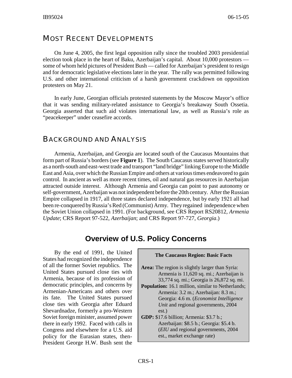## MOST RECENT DEVELOPMENTS

On June 4, 2005, the first legal opposition rally since the troubled 2003 presidential election took place in the heart of Baku, Azerbaijan's capital. About 10,000 protestors some of whom held pictures of President Bush — called for Azerbaijan's president to resign and for democratic legislative elections later in the year. The rally was permitted following U.S. and other international criticism of a harsh government crackdown on opposition protesters on May 21.

In early June, Georgian officials protested statements by the Moscow Mayor's office that it was sending military-related assistance to Georgia's breakaway South Ossetia. Georgia asserted that such aid violates international law, as well as Russia's role as "peacekeeper" under ceasefire accords.

## BACKGROUND AND ANALYSIS

Armenia, Azerbaijan, and Georgia are located south of the Caucasus Mountains that form part of Russia's borders (see **Figure 1**). The South Caucasus states served historically as a north-south and east-west trade and transport "land bridge" linking Europe to the Middle East and Asia, over which the Russian Empire and others at various times endeavored to gain control. In ancient as well as more recent times, oil and natural gas resources in Azerbaijan attracted outside interest. Although Armenia and Georgia can point to past autonomy or self-government, Azerbaijan was not independent before the 20th century. After the Russian Empire collapsed in 1917, all three states declared independence, but by early 1921 all had been re-conquered by Russia's Red (Communist) Army. They regained independence when the Soviet Union collapsed in 1991. (For background, see CRS Report RS20812*, Armenia Update*; CRS Report 97-522, *Azerbaijan*; and CRS Report 97-727, *Georgia*.)

## **Overview of U.S. Policy Concerns**

By the end of 1991, the United States had recognized the independence of all the former Soviet republics. The United States pursued close ties with Armenia, because of its profession of democratic principles, and concerns by Armenian-Americans and others over its fate. The United States pursued close ties with Georgia after Eduard Shevardnadze, formerly a pro-Western Soviet foreign minister, assumed power there in early 1992. Faced with calls in Congress and elsewhere for a U.S. aid policy for the Eurasian states, then-President George H.W. Bush sent the

| <b>The Caucasus Region: Basic Facts</b>                  |  |  |  |  |  |
|----------------------------------------------------------|--|--|--|--|--|
|                                                          |  |  |  |  |  |
| <b>Area:</b> The region is slightly larger than Syria:   |  |  |  |  |  |
| Armenia is 11,620 sq. mi.; Azerbaijan is                 |  |  |  |  |  |
| 33,774 sq. mi.; Georgia is 26,872 sq. mi.                |  |  |  |  |  |
| <b>Population:</b> 16.1 million, similar to Netherlands; |  |  |  |  |  |
| Armenia: 3.2 m.; Azerbaijan: 8.3 m.;                     |  |  |  |  |  |
| Georgia: 4.6 m. (Economist Intelligence                  |  |  |  |  |  |
| Unit and regional governments, 2004                      |  |  |  |  |  |
| est.)                                                    |  |  |  |  |  |
| <b>GDP:</b> \$17.6 billion; Armenia: \$3.7 b.;           |  |  |  |  |  |
| Azerbaijan: \$8.5 b.; Georgia: \$5.4 b.                  |  |  |  |  |  |
| (EIU and regional governments, 2004                      |  |  |  |  |  |
| est., market exchange rate)                              |  |  |  |  |  |
|                                                          |  |  |  |  |  |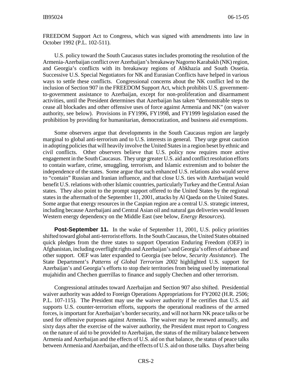FREEDOM Support Act to Congress, which was signed with amendments into law in October 1992 (P.L. 102-511).

U.S. policy toward the South Caucasus states includes promoting the resolution of the Armenia-Azerbaijan conflict over Azerbaijan's breakaway Nagorno Karabakh (NK) region, and Georgia's conflicts with its breakaway regions of Abkhazia and South Ossetia. Successive U.S. Special Negotiators for NK and Eurasian Conflicts have helped in various ways to settle these conflicts. Congressional concerns about the NK conflict led to the inclusion of Section 907 in the FREEDOM Support Act, which prohibits U.S. governmentto-government assistance to Azerbaijan, except for non-proliferation and disarmament activities, until the President determines that Azerbaijan has taken "demonstrable steps to cease all blockades and other offensive uses of force against Armenia and NK" (on waiver authority, see below). Provisions in FY1996, FY1998, and FY1999 legislation eased the prohibition by providing for humanitarian, democratization, and business aid exemptions.

Some observers argue that developments in the South Caucasus region are largely marginal to global anti-terrorism and to U.S. interests in general. They urge great caution in adopting policies that will heavily involve the United States in a region beset by ethnic and civil conflicts. Other observers believe that U.S. policy now requires more active engagement in the South Caucasus. They urge greater U.S. aid and conflict resolution efforts to contain warfare, crime, smuggling, terrorism, and Islamic extremism and to bolster the independence of the states. Some argue that such enhanced U.S. relations also would serve to "contain" Russian and Iranian influence, and that close U.S. ties with Azerbaijan would benefit U.S. relations with other Islamic countries, particularly Turkey and the Central Asian states. They also point to the prompt support offered to the United States by the regional states in the aftermath of the September 11, 2001, attacks by Al Qaeda on the United States. Some argue that energy resources in the Caspian region are a central U.S. strategic interest, including because Azerbaijani and Central Asian oil and natural gas deliveries would lessen Western energy dependency on the Middle East (see below, *Energy Resources*).

**Post-September 11.** In the wake of September 11, 2001, U.S. policy priorities shifted toward global anti-terrorist efforts. In the South Caucasus, the United States obtained quick pledges from the three states to support Operation Enduring Freedom (OEF) in Afghanistan, including overflight rights and Azerbaijan's and Georgia's offers of airbase and other support. OEF was later expanded to Georgia (see below, *Security Assistance*). The State Department's *Patterns of Global Terrorism 2002* highlighted U.S. support for Azerbaijan's and Georgia's efforts to stop their territories from being used by international mujahidin and Chechen guerrillas to finance and supply Chechen and other terrorism.

Congressional attitudes toward Azerbaijan and Section 907 also shifted. Presidential waiver authority was added to Foreign Operations Appropriations for FY2002 (H.R. 2506; P.L. 107-115). The President may use the waiver authority if he certifies that U.S. aid supports U.S. counter-terrorism efforts, supports the operational readiness of the armed forces, is important for Azerbaijan's border security, and will not harm NK peace talks or be used for offensive purposes against Armenia. The waiver may be renewed annually, and sixty days after the exercise of the waiver authority, the President must report to Congress on the nature of aid to be provided to Azerbaijan, the status of the military balance between Armenia and Azerbaijan and the effects of U.S. aid on that balance, the status of peace talks between Armenia and Azerbaijan, and the effects of U.S. aid on those talks. Days after being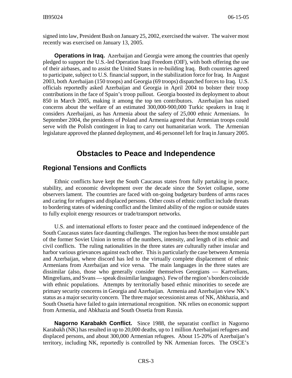signed into law, President Bush on January 25, 2002, exercised the waiver. The waiver most recently was exercised on January 13, 2005.

**Operations in Iraq.** Azerbaijan and Georgia were among the countries that openly pledged to support the U.S.-led Operation Iraqi Freedom (OIF), with both offering the use of their airbases, and to assist the United States in re-building Iraq. Both countries agreed to participate, subject to U.S. financial support, in the stabilization force for Iraq. In August 2003, both Azerbaijan (150 troops) and Georgia (69 troops) dispatched forces to Iraq. U.S. officials reportedly asked Azerbaijan and Georgia in April 2004 to bolster their troop contributions in the face of Spain's troop pullout. Georgia boosted its deployment to about 850 in March 2005, making it among the top ten contributors. Azerbaijan has raised concerns about the welfare of an estimated 300,000-900,000 Turkic speakers in Iraq it considers Azerbaijani, as has Armenia about the safety of 25,000 ethnic Armenians. In September 2004, the presidents of Poland and Armenia agreed that Armenian troops could serve with the Polish contingent in Iraq to carry out humanitarian work. The Armenian legislature approved the planned deployment, and 46 personnel left for Iraq in January 2005.

## **Obstacles to Peace and Independence**

#### **Regional Tensions and Conflicts**

Ethnic conflicts have kept the South Caucasus states from fully partaking in peace, stability, and economic development over the decade since the Soviet collapse, some observers lament. The countries are faced with on-going budgetary burdens of arms races and caring for refugees and displaced persons. Other costs of ethnic conflict include threats to bordering states of widening conflict and the limited ability of the region or outside states to fully exploit energy resources or trade/transport networks.

U.S. and international efforts to foster peace and the continued independence of the South Caucasus states face daunting challenges. The region has been the most unstable part of the former Soviet Union in terms of the numbers, intensity, and length of its ethnic and civil conflicts. The ruling nationalities in the three states are culturally rather insular and harbor various grievances against each other. This is particularly the case between Armenia and Azerbaijan, where discord has led to the virtually complete displacement of ethnic Armenians from Azerbaijan and vice versa. The main languages in the three states are dissimilar (also, those who generally consider themselves Georgians — Kartvelians, Mingrelians, and Svans — speak dissimilar languages). Few of the region's borders coincide with ethnic populations. Attempts by territorially based ethnic minorities to secede are primary security concerns in Georgia and Azerbaijan. Armenia and Azerbaijan view NK's status as a major security concern. The three major secessionist areas of NK, Abkhazia, and South Ossetia have failed to gain international recognition. NK relies on economic support from Armenia, and Abkhazia and South Ossetia from Russia.

**Nagorno Karabakh Conflict.** Since 1988, the separatist conflict in Nagorno Karabakh (NK) has resulted in up to 20,000 deaths, up to 1 million Azerbaijani refugees and displaced persons, and about 300,000 Armenian refugees. About 15-20% of Azerbaijan's territory, including NK, reportedly is controlled by NK Armenian forces. The OSCE's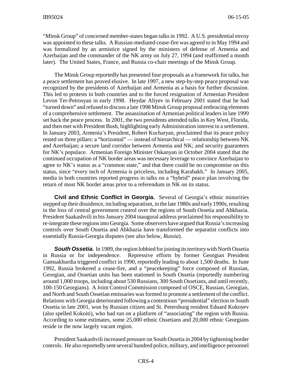"Minsk Group" of concerned member-states began talks in 1992. A U.S. presidential envoy was appointed to these talks. A Russian-mediated cease-fire was agreed to in May 1994 and was formalized by an armistice signed by the ministers of defense of Armenia and Azerbaijan and the commander of the NK army on July 27, 1994 (and reaffirmed a month later). The United States, France, and Russia co-chair meetings of the Minsk Group.

The Minsk Group reportedly has presented four proposals as a framework for talks, but a peace settlement has proved elusive. In late 1997, a new step-by-step peace proposal was recognized by the presidents of Azerbaijan and Armenia as a basis for further discussion. This led to protests in both countries and to the forced resignation of Armenian President Levon Ter-Petrosyan in early 1998. Heydar Aliyev in February 2001 stated that he had "turned down" and refused to discuss a late 1998 Minsk Group proposal embracing elements of a comprehensive settlement. The assassination of Armenian political leaders in late 1999 set back the peace process. In 2001, the two presidents attended talks in Key West, Florida, and then met with President Bush, highlighting early Administration interest in a settlement. In January 2003, Armenia's President, Robert Kocharyan, proclaimed that its peace policy rested on three pillars: a "horizontal" — instead of hierarchical — relationship between NK and Azerbaijan; a secure land corridor between Armenia and NK; and security guarantees for NK's populace. Armenian Foreign Minister Oskanyan in October 2004 stated that the continued occupation of NK border areas was necessary leverage to convince Azerbaijan to agree to NK's status as a "common state," and that there could be no compromise on this status, since "every inch of Armenia is priceless, including Karabakh." In January 2005, media in both countries reported progress in talks on a "hybrid" peace plan involving the return of most NK border areas prior to a referendum in NK on its status.

**Civil and Ethnic Conflict in Georgia.** Several of Georgia's ethnic minorities stepped up their dissidence, including separatism, in the late 1980s and early 1990s, resulting in the loss of central government control over the regions of South Ossetia and Abkhazia. President Saakashvili in his January 2004 inaugural address proclaimed his responsibility to re-integrate these regions into Georgia. Some observers have argued that Russia's increasing controls over South Ossetia and Abkhazia have transformed the separatist conflicts into essentially Russia-Georgia disputes (see also below, *Russia*).

**South Ossetia.** In 1989, the region lobbied for joining its territory with North Ossetia in Russia or for independence. Repressive efforts by former Georgian President Gamsakhurdia triggered conflict in 1990, reportedly leading to about 1,500 deaths. In June 1992, Russia brokered a cease-fire, and a "peacekeeping" force composed of Russian, Georgian, and Ossetian units has been stationed in South Ossetia (reportedly numbering around 1,000 troops, including about 530 Russians, 300 South Ossetians, and until recently, 100-150 Georgians). A Joint Control Commission composed of OSCE, Russian, Georgian, and North and South Ossetian emissaries was formed to promote a settlement of the conflict. Relations with Georgia deteriorated following a contentious "presidential" election in South Ossetia in late 2001, won by Russian citizen and St. Petersburg resident Eduard Kokoyev (also spelled Kokoiti), who had run on a platform of "associating" the region with Russia. According to some estimates, some 25,000 ethnic Ossetians and 20,000 ethnic Georgians reside in the now largely vacant region.

President Saakashvili increased pressure on South Ossetia in 2004 by tightening border controls. He also reportedly sent several hundred police, military, and intelligence personnel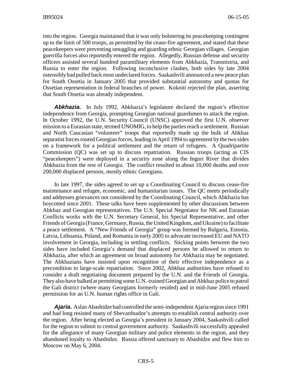into the region. Georgia maintained that it was only bolstering its peacekeeping contingent up to the limit of 500 troops, as permitted by the cease-fire agreement, and stated that these peacekeepers were preventing smuggling and guarding ethnic Georgian villages. Georgian guerrilla forces also reportedly entered the region. Allegedly, Russian defense and security officers assisted several hundred paramilitary elements from Abkhazia, Transnistria, and Russia to enter the region. Following inconclusive clashes, both sides by late 2004 ostensibly had pulled back most undeclared forces. Saakashvili announced a new peace plan for South Ossetia in January 2005 that provided substantial autonomy and quotas for Ossetian representation in federal branches of power. Kokoiti rejected the plan, asserting that South Ossetia was already independent.

**Abkhazia.** In July 1992, Abkhazia's legislature declared the region's effective independence from Georgia, prompting Georgian national guardsmen to attack the region. In October 1992, the U.N. Security Council (UNSC) approved the first U.N. observer mission to a Eurasian state, termed UNOMIG, to help the parties reach a settlement. Russian and North Caucasian "volunteer" troops that reportedly made up the bulk of Abkhaz separatist forces routed Georgian forces, leading in April 1994 to agreement by the two sides on a framework for a political settlement and the return of refugees. A Quadripartite Commission (QC) was set up to discuss repatriation. Russian troops (acting as CIS "peacekeepers") were deployed in a security zone along the Inguri River that divides Abkhazia from the rest of Georgia. The conflict resulted in about 10,000 deaths and over 200,000 displaced persons, mostly ethnic Georgians.

In late 1997, the sides agreed to set up a Coordinating Council to discuss cease-fire maintenance and refugee, economic, and humanitarian issues. The QC meets periodically and addresses grievances not considered by the Coordinating Council, which Abkhazia has boycotted since 2001. These talks have been supplemented by other discussions between Abkhaz and Georgian representatives. The U.S. Special Negotiator for NK and Eurasian Conflicts works with the U.N. Secretary General, his Special Representative, and other Friends of Georgia (France, Germany, Russia, the United Kingdom, and Ukraine) to facilitate a peace settlement. A "New Friends of Georgia" group was formed by Bulgaria, Estonia, Latvia, Lithuania, Poland, and Romania in early 2005 to advocate increased EU and NATO involvement in Georgia, including in settling conflicts. Sticking points between the two sides have included Georgia's demand that displaced persons be allowed to return to Abkhazia, after which an agreement on broad autonomy for Abkhazia may be negotiated. The Abkhazians have insisted upon recognition of their effective independence as a precondition to large-scale repatriation. Since 2002, Abkhaz authorities have refused to consider a draft negotiating document prepared by the U.N. and the Friends of Georgia. They also have balked at permitting some U.N.-trained Georgian and Abkhaz police to patrol the Gali district (where many Georgians formerly resided) and in mid-June 2005 refused permission for an U.N. human rights office in Gali.

*Ajaria.* Aslan Abashidze had controlled the semi-independent Ajaria region since 1991 and had long resisted many of Shevardnadze's attempts to establish central authority over the region. After being elected as Georgia's president in January 2004, Saakashvili called for the region to submit to central government authority. Saakashvili successfully appealed for the allegiance of many Georgian military and police elements in the region, and they abandoned loyalty to Abashidze. Russia offered sanctuary to Abashidze and flew him to Moscow on May 6, 2004.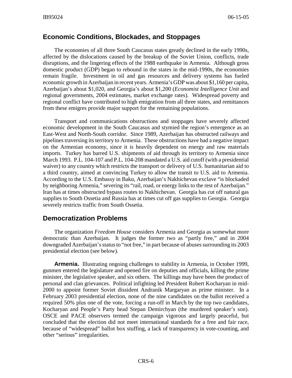#### **Economic Conditions, Blockades, and Stoppages**

The economies of all three South Caucasus states greatly declined in the early 1990s, affected by the dislocations caused by the breakup of the Soviet Union, conflicts, trade disruptions, and the lingering effects of the 1988 earthquake in Armenia. Although gross domestic product (GDP) began to rebound in the states in the mid-1990s, the economies remain fragile. Investment in oil and gas resources and delivery systems has fueled economic growth in Azerbaijan in recent years. Armenia's GDP was about \$1,160 per capita, Azerbaijan's about \$1,020, and Georgia's about \$1,200 (*Economist Intelligence Unit* and regional governments, 2004 estimates, market exchange rates). Widespread poverty and regional conflict have contributed to high emigration from all three states, and remittances from these emigres provide major support for the remaining populations.

Transport and communications obstructions and stoppages have severely affected economic development in the South Caucasus and stymied the region's emergence as an East-West and North-South corridor. Since 1989, Azerbaijan has obstructed railways and pipelines traversing its territory to Armenia. These obstructions have had a negative impact on the Armenian economy, since it is heavily dependent on energy and raw materials imports. Turkey has barred U.S. shipments of aid through its territory to Armenia since March 1993. P.L. 104-107 and P.L. 104-208 mandated a U.S. aid cutoff (with a presidential waiver) to any country which restricts the transport or delivery of U.S. humanitarian aid to a third country, aimed at convincing Turkey to allow the transit to U.S. aid to Armenia. According to the U.S. Embassy in Baku, Azerbaijan's Nakhichevan exclave "is blockaded by neighboring Armenia," severing its "rail, road, or energy links to the rest of Azerbaijan." Iran has at times obstructed bypass routes to Nakhichevan. Georgia has cut off natural gas supplies to South Ossetia and Russia has at times cut off gas supplies to Georgia. Georgia severely restricts traffic from South Ossetia.

#### **Democratization Problems**

The organization *Freedom House* considers Armenia and Georgia as somewhat more democratic than Azerbaijan. It judges the former two as "partly free," and in 2004 downgraded Azerbaijan's status to "not free," in part because of abuses surrounding its 2003 presidential election (see below).

**Armenia.** Illustrating ongoing challenges to stability in Armenia, in October 1999, gunmen entered the legislature and opened fire on deputies and officials, killing the prime minister, the legislative speaker, and six others. The killings may have been the product of personal and clan grievances. Political infighting led President Robert Kocharyan in mid-2000 to appoint former Soviet dissident Andranik Margaryan as prime minister. In a February 2003 presidential election, none of the nine candidates on the ballot received a required 50% plus one of the vote, forcing a run-off in March by the top two candidates, Kocharyan and People's Party head Stepan Demirchyan (the murdered speaker's son). OSCE and PACE observers termed the campaign vigorous and largely peaceful, but concluded that the election did not meet international standards for a free and fair race, because of "widespread" ballot box stuffing, a lack of transparency in vote-counting, and other "serious" irregularities.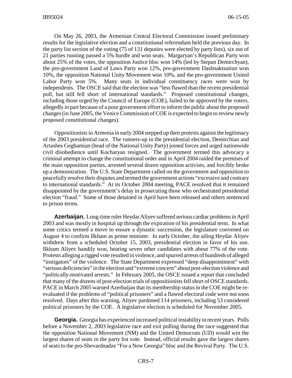On May 26, 2003, the Armenian Central Electoral Commission issued preliminary results for the legislative election and a constitutional referendum held the previous day. In the party list section of the voting (75 of 131 deputies were elected by party lists), six out of 21 parties running passed a 5% hurdle and won seats. Margaryan's Republican Party won about 25% of the votes, the opposition Justice bloc won 14% (led by Stepan Demirchyan), the pro-government Land of Laws Party won 12%, pro-government Dashnaktsutiun won 10%, the opposition National Unity Movement won 10%, and the pro-government United Labor Party won 5%. Many seats in individual constituency races were won by independents. The OSCE said that the election was "less flawed than the recent presidential poll, but still fell short of international standards." Proposed constitutional changes, including those urged by the Council of Europe (COE), failed to be approved by the voters, allegedly in part because of a poor government effort to inform the public about the proposed changes (in June 2005, the Venice Commission of COE is expected to begin to review newly proposed constitutional changes).

Oppositionists in Armenia in early 2004 stepped up their protests against the legitimacy of the 2003 presidential race. The runners-up in the presidential election, Demirchian and Artashes Geghamian (head of the National Unity Party) joined forces and urged nationwide civil disobedience until Kocharyan resigned. The government termed this advocacy a criminal attempt to change the constitutional order and in April 2004 raided the premises of the main opposition parties, arrested several dozen opposition activists, and forcibly broke up a demonstration. The U.S. State Department called on the government and opposition to peacefully resolve their disputes and termed the government actions "excessive and contrary to international standards." At its October 2004 meeting, PACE resolved that it remained disappointed by the government's delay in prosecuting those who orchestrated presidential election "fraud." Some of those detained in April have been released and others sentenced to prison terms.

**Azerbaijan.** Long-time ruler Heydar Aliyev suffered serious cardiac problems in April 2003 and was mostly in hospital up through the expiration of his presidential term. In what some critics termed a move to ensure a dynastic succession, the legislature convened on August 4 to confirm Ilkham as prime minister. In early October, the ailing Heydar Aliyev withdrew from a scheduled October 15, 2003, presidential election in favor of his son. Ilkham Aliyev handily won, beating seven other candidates with about 77% of the vote. Protests alleging a rigged vote resulted in violence, and spurred arrests of hundreds of alleged "instigators" of the violence. The State Department expressed "deep disappointment" with "serious deficiencies" in the election and "extreme concern" about post-election violence and "politically-motivated arrests." In February 2005, the OSCE issued a report that concluded that many of the dozens of post-election trials of oppositionists fell short of OSCE standards. PACE in March 2005 warned Azerbaijan that its membership status in the COE might be reevaluated if the problems of "political prisoners" and a flawed electoral code were not soon resolved. Days after this warning, Aliyev pardoned 114 prisoners, including 53 considered political prisoners by the COE. A legislative election is scheduled for November 2005.

**Georgia.** Georgia has experienced increased political instability in recent years. Polls before a November 2, 2003 legislative race and exit polling during the race suggested that the opposition National Movement (NM) and the United Democrats (UD) would win the largest shares of seats in the party list vote. Instead, official results gave the largest shares of seats to the pro-Shevardnadze "For a New Georgia" bloc and the Revival Party. The U.S.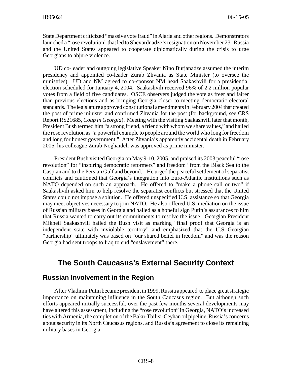State Department criticized "massive vote fraud" in Ajaria and other regions. Demonstrators launched a "rose revolution" that led to Shevardnadze's resignation on November 23. Russia and the United States appeared to cooperate diplomatically during the crisis to urge Georgians to abjure violence.

UD co-leader and outgoing legislative Speaker Nino Burjanadze assumed the interim presidency and appointed co-leader Zurab Zhvania as State Minister (to oversee the ministries). UD and NM agreed to co-sponsor NM head Saakashvili for a presidential election scheduled for January 4, 2004. Saakashvili received 96% of 2.2 million popular votes from a field of five candidates. OSCE observers judged the vote as freer and fairer than previous elections and as bringing Georgia closer to meeting democratic electoral standards. The legislature approved constitutional amendments in February 2004 that created the post of prime minister and confirmed Zhvania for the post (for background, see CRS Report RS21685, *Coup in Georgia*). Meeting with the visiting Saakashvili later that month, President Bush termed him "a strong friend, a friend with whom we share values," and hailed the rose revolution as "a powerful example to people around the world who long for freedom and long for honest government." After Zhvania's apparently accidental death in February 2005, his colleague Zurab Noghaideli was approved as prime minister.

President Bush visited Georgia on May 9-10, 2005, and praised its 2003 peaceful "rose revolution" for "inspiring democratic reformers" and freedom "from the Black Sea to the Caspian and to the Persian Gulf and beyond." He urged the peaceful settlement of separatist conflicts and cautioned that Georgia's integration into Euro-Atlantic institutions such as NATO depended on such an approach. He offered to "make a phone call or two" if Saakashvili asked him to help resolve the separatist conflicts but stressed that the United States could not impose a solution. He offered unspecified U.S. assistance so that Georgia may meet objectives necessary to join NATO. He also offered U.S. mediation on the issue of Russian military bases in Georgia and hailed as a hopeful sign Putin's assurances to him that Russia wanted to carry out its commitments to resolve the issue. Georgian President Mikheil Saakashvili hailed the Bush visit as marking "final proof that Georgia is an independent state with inviolable territory" and emphasized that the U.S.-Georgian "partnership" ultimately was based on "our shared belief in freedom" and was the reason Georgia had sent troops to Iraq to end "enslavement" there.

## **The South Caucasus's External Security Context**

#### **Russian Involvement in the Region**

After Vladimir Putin became president in 1999, Russia appeared to place great strategic importance on maintaining influence in the South Caucasus region. But although such efforts appeared initially successful, over the past few months several developments may have altered this assessment, including the "rose revolution" in Georgia, NATO's increased ties with Armenia, the completion of the Baku-Tbilisi-Ceyhan oil pipeline, Russia's concerns about security in its North Caucasus regions, and Russia's agreement to close its remaining military bases in Georgia.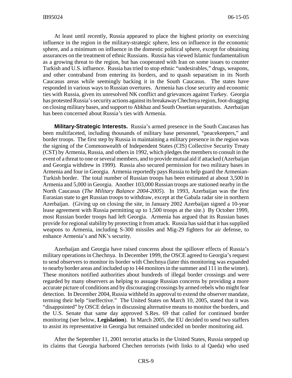At least until recently, Russia appeared to place the highest priority on exercising influence in the region in the military-strategic sphere, less on influence in the economic sphere, and a minimum on influence in the domestic political sphere, except for obtaining assurances on the treatment of ethnic Russians. Russia has viewed Islamic fundamentalism as a growing threat to the region, but has cooperated with Iran on some issues to counter Turkish and U.S. influence. Russia has tried to stop ethnic "undesirables," drugs, weapons, and other contraband from entering its borders, and to quash separatism in its North Caucasus areas while seemingly backing it in the South Caucasus. The states have responded in various ways to Russian overtures. Armenia has close security and economic ties with Russia, given its unresolved NK conflict and grievances against Turkey. Georgia has protested Russia's security actions against its breakaway Chechnya region, foot-dragging on closing military bases, and support to Abkhaz and South Ossetian separatists. Azerbaijan has been concerned about Russia's ties with Armenia.

**Military-Strategic Interests.** Russia's armed presence in the South Caucasus has been multifaceted, including thousands of military base personnel, "peacekeepers," and border troops. The first step by Russia in maintaining a military presence in the region was the signing of the Commonwealth of Independent States (CIS) Collective Security Treaty (CST) by Armenia, Russia, and others in 1992, which pledges the members to consult in the event of a threat to one or several members, and to provide mutual aid if attacked (Azerbaijan and Georgia withdrew in 1999). Russia also secured permission for two military bases in Armenia and four in Georgia. Armenia reportedly pays Russia to help guard the Armenian-Turkish border. The total number of Russian troops has been estimated at about 3,500 in Armenia and 5,000 in Georgia. Another 103,000 Russian troops are stationed nearby in the North Caucasus (*The Military Balance 2004-2005*). In 1993, Azerbaijan was the first Eurasian state to get Russian troops to withdraw, except at the Gabala radar site in northern Azerbaijan. (Giving up on closing the site, in January 2002 Azerbaijan signed a 10-year lease agreement with Russia permitting up to 1,500 troops at the site.) By October 1999, most Russian border troops had left Georgia. Armenia has argued that its Russian bases provide for regional stability by protecting it from attack. Russia has said that it has supplied weapons to Armenia, including S-300 missiles and Mig-29 fighters for air defense, to enhance Armenia's and NK's security.

Azerbaijan and Georgia have raised concerns about the spillover effects of Russia's military operations in Chechnya. In December 1999, the OSCE agreed to Georgia's request to send observers to monitor its border with Chechnya (later this monitoring was expanded to nearby border areas and included up to 144 monitors in the summer and 111 in the winter). These monitors notified authorities about hundreds of illegal border crossings and were regarded by many observers as helping to assuage Russian concerns by providing a more accurate picture of conditions and by discouraging crossings by armed rebels who might fear detection. In December 2004, Russia withheld its approval to extend the observer mandate, terming their help "ineffective." The United States on March 10, 2005, stated that it was "disappointed" by OSCE delays in discussing alternative means to monitor the borders, and the U.S. Senate that same day approved S.Res. 69 that called for continued border monitoring (see below, **Legislation**). In March 2005, the EU decided to send two staffers to assist its representative in Georgia but remained undecided on border monitoring aid.

After the September 11, 2001 terrorist attacks in the United States, Russia stepped up its claims that Georgia harbored Chechen terrorists (with links to al Qaeda) who used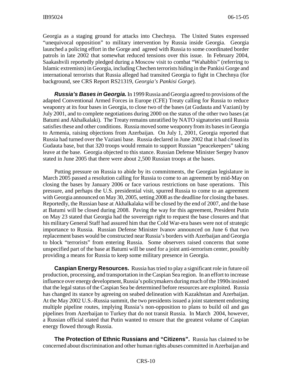Georgia as a staging ground for attacks into Chechnya. The United States expressed "unequivocal opposition" to military intervention by Russia inside Georgia. Georgia launched a policing effort in the Gorge and agreed with Russia to some coordinated border patrols in late 2002 that somewhat reduced tensions over this issue. In February 2004, Saakashvili reportedly pledged during a Moscow visit to combat "Wahabbis" (referring to Islamic extremists) in Georgia, including Chechen terrorists hiding in the Pankisi Gorge and international terrorists that Russia alleged had transited Georgia to fight in Chechnya (for background, see CRS Report RS21319, *Georgia's Pankisi Gorge*).

*Russia's Bases in Georgia.* In 1999 Russia and Georgia agreed to provisions of the adapted Conventional Armed Forces in Europe (CFE) Treaty calling for Russia to reduce weaponry at its four bases in Georgia, to close two of the bases (at Gudauta and Vaziani) by July 2001, and to complete negotiations during 2000 on the status of the other two bases (at Batumi and Akhalkalaki). The Treaty remains unratified by NATO signatories until Russia satisfies these and other conditions. Russia moved some weaponry from its bases in Georgia to Armenia, raising objections from Azerbaijan. On July 1, 2001, Georgia reported that Russia had turned over the Vaziani base. Russia declared in June 2002 that it had closed its Gudauta base, but that 320 troops would remain to support Russian "peacekeepers" taking leave at the base. Georgia objected to this stance. Russian Defense Minister Sergey Ivanov stated in June 2005 that there were about 2,500 Russian troops at the bases.

Putting pressure on Russia to abide by its commitments, the Georgian legislature in March 2005 passed a resolution calling for Russia to come to an agreement by mid-May on closing the bases by January 2006 or face various restrictions on base operations. This pressure, and perhaps the U.S. presidential visit, spurred Russia to come to an agreement with Georgia announced on May 30, 2005, setting 2008 as the deadline for closing the bases. Reportedly, the Russian base at Akhalkalaka will be closed by the end of 2007, and the base at Batumi will be closed during 2008. Paving the way for this agreement, President Putin on May 23 stated that Georgia had the sovereign right to request the base closures and that his military General Staff had assured him that the Cold War-era bases were not of strategic importance to Russia. Russian Defense Minister Ivanov announced on June 6 that two replacement bases would be constructed near Russia's borders with Azerbaijan and Georgia to block "terrorists" from entering Russia. Some observers raised concerns that some unspecified part of the base at Batumi will be used for a joint anti-terrorism center, possibly providing a means for Russia to keep some military presence in Georgia.

**Caspian Energy Resources.** Russia has tried to play a significant role in future oil production, processing, and transportation in the Caspian Sea region. In an effort to increase influence over energy development, Russia's policymakers during much of the 1990s insisted that the legal status of the Caspian Sea be determined before resources are exploited. Russia has changed its stance by agreeing on seabed delineation with Kazakhstan and Azerbaijan. At the May 2002 U.S.-Russia summit, the two presidents issued a joint statement endorsing multiple pipeline routes, implying Russia's non-opposition to plans to build oil and gas pipelines from Azerbaijan to Turkey that do not transit Russia. In March 2004, however, a Russian official stated that Putin wanted to ensure that the greatest volume of Caspian energy flowed through Russia.

**The Protection of Ethnic Russians and "Citizens".** Russia has claimed to be concerned about discrimination and other human rights abuses committed in Azerbaijan and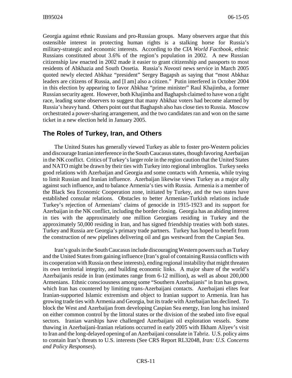Georgia against ethnic Russians and pro-Russian groups. Many observers argue that this ostensible interest in protecting human rights is a stalking horse for Russia's military-strategic and economic interests. According to the *CIA World Factbook*, ethnic Russians constituted about 3.6% of the region's population in 2002. A new Russian citizenship law enacted in 2002 made it easier to grant citizenship and passports to most residents of Abkhazia and South Ossetia. Russia's *Novosti* news service in March 2005 quoted newly elected Abkhaz "president" Sergey Bagapsh as saying that "most Abkhaz leaders are citizens of Russia, and [I am] also a citizen." Putin interfered in October 2004 in this election by appearing to favor Abkhaz "prime minister" Raul Khajimba, a former Russian security agent. However, both Khajimba and Baghapsh claimed to have won a tight race, leading some observers to suggest that many Abkhaz voters had become alarmed by Russia's heavy hand. Others point out that Baghapsh also has close ties to Russia. Moscow orchestrated a power-sharing arrangement, and the two candidates ran and won on the same ticket in a new election held in January 2005.

#### **The Roles of Turkey, Iran, and Others**

The United States has generally viewed Turkey as able to foster pro-Western policies and discourage Iranian interference in the South Caucasus states, though favoring Azerbaijan in the NK conflict. Critics of Turkey's larger role in the region caution that the United States and NATO might be drawn by their ties with Turkey into regional imbroglios. Turkey seeks good relations with Azerbaijan and Georgia and some contacts with Armenia, while trying to limit Russian and Iranian influence. Azerbaijan likewise views Turkey as a major ally against such influence, and to balance Armenia's ties with Russia. Armenia is a member of the Black Sea Economic Cooperation zone, initiated by Turkey, and the two states have established consular relations. Obstacles to better Armenian-Turkish relations include Turkey's rejection of Armenians' claims of genocide in 1915-1923 and its support for Azerbaijan in the NK conflict, including the border closing. Georgia has an abiding interest in ties with the approximately one million Georgians residing in Turkey and the approximately 50,000 residing in Iran, and has signed friendship treaties with both states. Turkey and Russia are Georgia's primary trade partners. Turkey has hoped to benefit from the construction of new pipelines delivering oil and gas westward from the Caspian Sea.

Iran's goals in the South Caucasus include discouraging Western powers such as Turkey and the United States from gaining influence (Iran's goal of containing Russia conflicts with its cooperation with Russia on these interests), ending regional instability that might threaten its own territorial integrity, and building economic links. A major share of the world's Azerbaijanis reside in Iran (estimates range from 6-12 million), as well as about 200,000 Armenians. Ethnic consciousness among some "Southern Azerbaijanis" in Iran has grown, which Iran has countered by limiting trans-Azerbaijani contacts. Azerbaijani elites fear Iranian-supported Islamic extremism and object to Iranian support to Armenia. Iran has growing trade ties with Armenia and Georgia, but its trade with Azerbaijan has declined. To block the West and Azerbaijan from developing Caspian Sea energy, Iran long has insisted on either common control by the littoral states or the division of the seabed into five equal sectors. Iranian warships have challenged Azerbaijani oil exploration vessels. Some thawing in Azerbaijani-Iranian relations occurred in early 2005 with Ilkham Aliyev's visit to Iran and the long-delayed opening of an Azerbaijani consulate in Tabriz. U.S. policy aims to contain Iran's threats to U.S. interests (See CRS Report RL32048, *Iran: U.S. Concerns and Policy Responses*).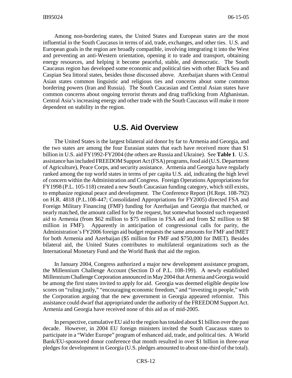Among non-bordering states, the United States and European states are the most influential in the South Caucasus in terms of aid, trade, exchanges, and other ties. U.S. and European goals in the region are broadly compatible, involving integrating it into the West and preventing an anti-Western orientation, opening it to trade and transport, obtaining energy resources, and helping it become peaceful, stable, and democratic. The South Caucasus region has developed some economic and political ties with other Black Sea and Caspian Sea littoral states, besides those discussed above. Azerbaijan shares with Central Asian states common linguistic and religious ties and concerns about some common bordering powers (Iran and Russia). The South Caucasian and Central Asian states have common concerns about ongoing terrorist threats and drug trafficking from Afghanistan. Central Asia's increasing energy and other trade with the South Caucasus will make it more dependent on stability in the region.

#### **U.S. Aid Overview**

The United States is the largest bilateral aid donor by far to Armenia and Georgia, and the two states are among the four Eurasian states that each have received more than \$1 billion in U.S. aid FY1992-FY2004 (the others are Russia and Ukraine). See **Table 1**. U.S. assistance has included FREEDOM Support Act (FSA) programs, food aid (U.S. Department of Agriculture), Peace Corps, and security assistance. Armenia and Georgia have regularly ranked among the top world states in terms of per capita U.S. aid, indicating the high level of concern within the Administration and Congress. Foreign Operations Appropriations for FY1998 (P.L. 105-118) created a new South Caucasian funding category, which still exists, to emphasize regional peace and development. The Conference Report (H.Rept. 108-792) on H.R. 4818 (P.L.108-447; Consolidated Appropriations for FY2005) directed FSA and Foreign Military Financing (FMF) funding for Azerbaijan and Georgia that matched, or nearly matched, the amount called for by the request, but somewhat boosted such requested aid to Armenia (from \$62 million to \$75 million in FSA aid and from \$2 million to \$8 million in FMF). Apparently in anticipation of congressional calls for parity, the Administration's FY2006 foreign aid budget requests the same amounts for FMF and IMET for both Armenia and Azerbaijan (\$5 million for FMF and \$750,000 for IMET). Besides bilateral aid, the United States contributes to multilateral organizations such as the International Monetary Fund and the World Bank that aid the region.

In January 2004, Congress authorized a major new development assistance program, the Millennium Challenge Account (Section D of P.L. 108-199). A newly established Millennium Challenge Corporation announced in May 2004 that Armenia and Georgia would be among the first states invited to apply for aid. Georgia was deemed eligible despite low scores on "ruling justly," "encouraging economic freedom," and "investing in people," with the Corporation arguing that the new government in Georgia appeared reformist. This assistance could dwarf that appropriated under the authority of the FREEDOM Support Act. Armenia and Georgia have received none of this aid as of mid-2005.

In perspective, cumulative EU aid to the region has totaled about \$1 billion over the past decade. However, in 2004 EU foreign ministers invited the South Caucasus states to participate in a "Wider Europe" program of enhanced aid, trade, and political ties. A World Bank/EU-sponsored donor conference that month resulted in over \$1 billion in three-year pledges for development in Georgia (U.S. pledges amounted to about one-third of the total).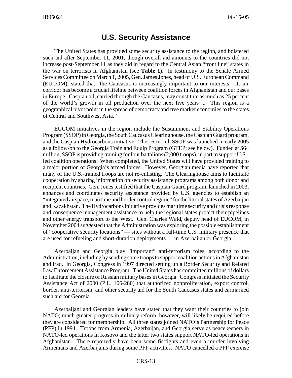## **U.S. Security Assistance**

The United States has provided some security assistance to the region, and bolstered such aid after September 11, 2001, though overall aid amounts to the countries did not increase post-September 11 as they did in regard to the Central Asian "front line" states in the war on terrorists in Afghanistan (see **Table 1**). In testimony to the Senate Armed Services Committee on March 1, 2005, Gen. James Jones, head of U.S. European Command (EUCOM), stated that "the Caucasus is increasingly important to our interests. Its air corridor has become a crucial lifeline between coalition forces in Afghanistan and our bases in Europe. Caspian oil, carried through the Caucasus, may constitute as much as 25 percent of the world's growth in oil production over the next five years ... This region is a geographical pivot point in the spread of democracy and free market economies to the states of Central and Southwest Asia."

EUCOM initiatives in the region include the Sustainment and Stability Operations Program (SSOP) in Georgia, the South Caucasus Clearinghouse, the Caspian Guard program, and the Caspian Hydrocarbons initiative. The 16-month SSOP was launched in early 2005 as a follow-on to the Georgia Train and Equip Program (GTEP; see below). Funded at \$64 million, SSOP is providing training for four battalions (2,000 troops), in part to support U.S. led coalition operations. When completed, the United States will have provided training to a major portion of Georgia's armed forces. However, Georgian media have reported that many of the U.S.-trained troops are not re-enlisting. The Clearinghouse aims to facilitate cooperation by sharing information on security assistance programs among both donor and recipient countries. Gen. Jones testified that the Caspian Guard program, launched in 2003, enhances and coordinates security assistance provided by U.S. agencies to establish an "integrated airspace, maritime and border control regime" for the littoral states of Azerbaijan and Kazakhstan. The Hydrocarbons initiative provides maritime security and crisis response and consequence management assistance to help the regional states protect their pipelines and other energy transport to the West. Gen. Charles Wald, deputy head of EUCOM, in November 2004 suggested that the Administration was exploring the possible establishment of "cooperative security locations" — sites without a full-time U.S. military presence that are used for refueling and short-duration deployments — in Azerbaijan or Georgia.

Azerbaijan and Georgia play "important" anti-terrorism roles, according to the Administration, including by sending some troops to support coalition actions in Afghanistan and Iraq. In Georgia, Congress in 1997 directed setting up a Border Security and Related Law Enforcement Assistance Program. The United States has committed millions of dollars to facilitate the closure of Russian military bases in Georgia. Congress initiated the Security Assistance Act of 2000 (P.L. 106-280) that authorized nonproliferation, export control, border, anti-terrorism, and other security aid for the South Caucasus states and earmarked such aid for Georgia.

Azerbaijani and Georgian leaders have stated that they want their countries to join NATO; much greater progress in military reform, however, will likely be required before they are considered for membership. All three states joined NATO's Partnership for Peace (PFP) in 1994. Troops from Armenia, Azerbaijan, and Georgia serve as peacekeepers in NATO-led operations in Kosovo and the latter two states support NATO-led operations in Afghanistan. There reportedly have been some fistfights and even a murder involving Armenians and Azerbaijanis during some PFP activities. NATO cancelled a PFP exercise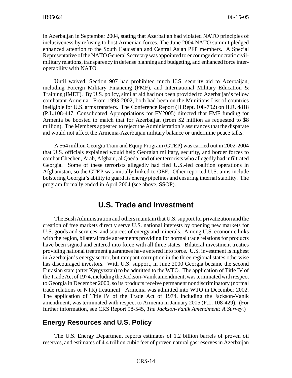in Azerbaijan in September 2004, stating that Azerbaijan had violated NATO principles of inclusiveness by refusing to host Armenian forces. The June 2004 NATO summit pledged enhanced attention to the South Caucasian and Central Asian PFP members. A Special Representative of the NATO General Secretary was appointed to encourage democratic civilmilitary relations, transparency in defense planning and budgeting, and enhanced force interoperability with NATO.

Until waived, Section 907 had prohibited much U.S. security aid to Azerbaijan, including Foreign Military Financing (FMF), and International Military Education  $\&$ Training (IMET). By U.S. policy, similar aid had not been provided to Azerbaijan's fellow combatant Armenia. From 1993-2002, both had been on the Munitions List of countries ineligible for U.S. arms transfers. The Conference Report (H.Rept. 108-792) on H.R. 4818 (P.L.108-447; Consolidated Appropriations for FY2005) directed that FMF funding for Armenia be boosted to match that for Azerbaijan (from \$2 million as requested to \$8 million). The Members appeared to reject the Administration's assurances that the disparate aid would not affect the Armenia-Azerbaijan military balance or undermine peace talks.

A \$64 million Georgia Train and Equip Program (GTEP) was carried out in 2002-2004 that U.S. officials explained would help Georgian military, security, and border forces to combat Chechen, Arab, Afghani, al Qaeda, and other terrorists who allegedly had infiltrated Georgia. Some of these terrorists allegedly had fled U.S.-led coalition operations in Afghanistan, so the GTEP was initially linked to OEF. Other reported U.S. aims include bolstering Georgia's ability to guard its energy pipelines and ensuring internal stability. The program formally ended in April 2004 (see above, SSOP).

#### **U.S. Trade and Investment**

The Bush Administration and others maintain that U.S. support for privatization and the creation of free markets directly serve U.S. national interests by opening new markets for U.S. goods and services, and sources of energy and minerals. Among U.S. economic links with the region, bilateral trade agreements providing for normal trade relations for products have been signed and entered into force with all three states. Bilateral investment treaties providing national treatment guarantees have entered into force. U.S. investment is highest in Azerbaijan's energy sector, but rampant corruption in the three regional states otherwise has discouraged investors. With U.S. support, in June 2000 Georgia became the second Eurasian state (after Kyrgyzstan) to be admitted to the WTO. The application of Title IV of the Trade Act of 1974, including the Jackson-Vanik amendment, was terminated with respect to Georgia in December 2000, so its products receive permanent nondiscriminatory (normal trade relations or NTR) treatment. Armenia was admitted into WTO in December 2002. The application of Title IV of the Trade Act of 1974, including the Jackson-Vanik amendment, was terminated with respect to Armenia in January 2005 (P.L. 108-429). (For further information, see CRS Report 98-545, *The Jackson-Vanik Amendment: A Survey*.)

#### **Energy Resources and U.S. Policy**

The U.S. Energy Department reports estimates of 1.2 billion barrels of proven oil reserves, and estimates of 4.4 trillion cubic feet of proven natural gas reserves in Azerbaijan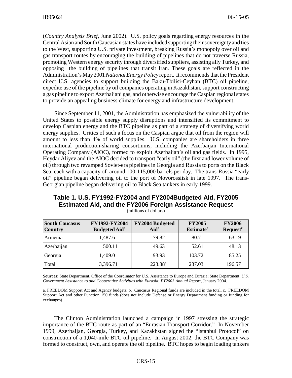(*Country Analysis Brief*, June 2002). U.S. policy goals regarding energy resources in the Central Asian and South Caucasian states have included supporting their sovereignty and ties to the West, supporting U.S. private investment, breaking Russia's monopoly over oil and gas transport routes by encouraging the building of pipelines that do not traverse Russia, promoting Western energy security through diversified suppliers, assisting ally Turkey, and opposing the building of pipelines that transit Iran. These goals are reflected in the Administration's May 2001 *National Energy Policy* report. It recommends that the President direct U.S. agencies to support building the Baku-Tbilisi-Ceyhan (BTC) oil pipeline, expedite use of the pipeline by oil companies operating in Kazakhstan, support constructing a gas pipeline to export Azerbaijani gas, and otherwise encourage the Caspian regional states to provide an appealing business climate for energy and infrastructure development.

Since September 11, 2001, the Administration has emphasized the vulnerability of the United States to possible energy supply disruptions and intensified its commitment to develop Caspian energy and the BTC pipeline as part of a strategy of diversifying world energy supplies. Critics of such a focus on the Caspian argue that oil from the region will amount to less than 4% of world supplies. U.S. companies are shareholders in three international production-sharing consortiums, including the Azerbaijan International Operating Company (AIOC), formed to exploit Azerbaijan's oil and gas fields. In 1995, Heydar Aliyev and the AIOC decided to transport "early oil" (the first and lower volume of oil) through two revamped Soviet-era pipelines in Georgia and Russia to ports on the Black Sea, each with a capacity of around 100-115,000 barrels per day. The trans-Russia "early oil" pipeline began delivering oil to the port of Novorossiisk in late 1997. The trans-Georgian pipeline began delivering oil to Black Sea tankers in early 1999.

| Table 1. U.S. FY1992-FY2004 and FY2004Budgeted Aid, FY2005      |
|-----------------------------------------------------------------|
| <b>Estimated Aid, and the FY2006 Foreign Assistance Request</b> |

| <b>South Caucasus</b><br><b>Country</b> | FY1992-FY2004<br><b>Budgeted Aid</b> <sup>a</sup> | FY2004 Budgeted<br>Aid <sup>a</sup> | <b>FY2005</b><br>Estimate <sup>c</sup> | <b>FY2006</b><br><b>Request<sup>c</sup></b> |
|-----------------------------------------|---------------------------------------------------|-------------------------------------|----------------------------------------|---------------------------------------------|
| Armenia                                 | 1,487.6                                           | 79.82                               | 80.7                                   | 63.19                                       |
| Azerbaijan                              | 500.11                                            | 49.63                               | 52.61                                  | 48.13                                       |
| Georgia                                 | 1,409.0                                           | 93.93                               | 103.72                                 | 85.25                                       |
| Total                                   | 3,396.71                                          | $223.38^{b}$                        | 237.03                                 | 196.57                                      |

(millions of dollars)

**Sources:** State Department, Office of the Coordinator for U.S. Assistance to Europe and Eurasia; State Department, *U.S. Government Assistance to and Cooperative Activities with Eurasia: FY2003 Annual Report,* January 2004.

a. FREEDOM Support Act and Agency budgets; b. Caucasus Regional funds are included in the total. c. FREEDOM Support Act and other Function 150 funds (does not include Defense or Energy Department funding or funding for exchanges).

The Clinton Administration launched a campaign in 1997 stressing the strategic importance of the BTC route as part of an "Eurasian Transport Corridor." In November 1999, Azerbaijan, Georgia, Turkey, and Kazakhstan signed the "Istanbul Protocol" on construction of a 1,040-mile BTC oil pipeline. In August 2002, the BTC Company was formed to construct, own, and operate the oil pipeline. BTC hopes to begin loading tankers